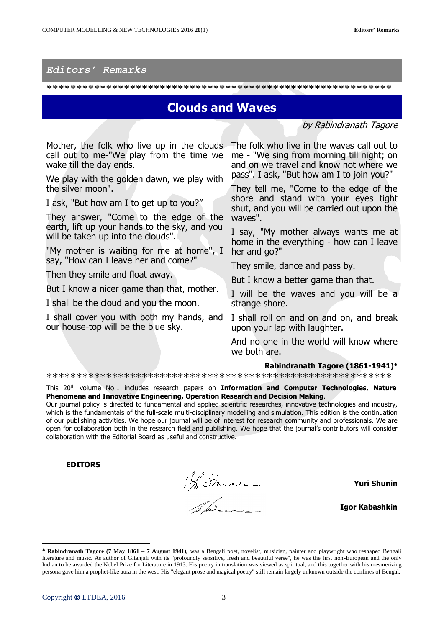## *Editors' Remarks*

\*\*\*\*\*\*\*\*\*\*\*\*\*\*\*\*\*\*\*\*\*\*\*\*\*\*\*\*\*\*\*\*\*\*\*\*\*\*\*\*\*\*\*\*\*\*\*\*\*\*\*\*\*\*\*\*\*\*

## **Clouds and Waves**

by Rabindranath Tagore

Mother, the folk who live up in the clouds call out to me-"We play from the time we wake till the day ends.

We play with the golden dawn, we play with the silver moon".

I ask, "But how am I to get up to you?"

They answer, "Come to the edge of the earth, lift up your hands to the sky, and you will be taken up into the clouds".

"My mother is waiting for me at home", I say, "How can I leave her and come?"

Then they smile and float away.

But I know a nicer game than that, mother.

I shall be the cloud and you the moon.

I shall cover you with both my hands, and our house-top will be the blue sky.

The folk who live in the waves call out to me - "We sing from morning till night; on and on we travel and know not where we pass". I ask, "But how am I to join you?"

They tell me, "Come to the edge of the shore and stand with your eyes tight shut, and you will be carried out upon the waves".

I say, "My mother always wants me at home in the everything - how can I leave her and go?"

They smile, dance and pass by.

But I know a better game than that.

I will be the waves and you will be a strange shore.

I shall roll on and on and on, and break upon your lap with laughter.

And no one in the world will know where we both are.

## **Rabindranath Tagore (1861-1941)**

\*\*\*\*\*\*\*\*\*\*\*\*\*\*\*\*\*\*\*\*\*\*\*\*\*\*\*\*\*\*\*\*\*\*\*\*\*\*\*\*\*\*\*\*\*\*\*\*\*\*\*\*\*\*\*\*\*\*

This 20th volume No.1 includes research papers on **Information and Computer Technologies, Nature Phenomena and Innovative Engineering, Operation Research and Decision Making**.

Our journal policy is directed to fundamental and applied scientific researches, innovative technologies and industry, which is the fundamentals of the full-scale multi-disciplinary modelling and simulation. This edition is the continuation of our publishing activities. We hope our journal will be of interest for research community and professionals. We are open for collaboration both in the research field and publishing. We hope that the journal's contributors will consider collaboration with the Editorial Board as useful and constructive.

**EDITORS**

In Sman

**Yuri Shunin**

**Igor Kabashkin**

-

**Rabindranath Tagore (7 May 1861 – 7 August 1941),** was a Bengali poet, novelist, musician, painter and playwright who reshaped Bengali literature and music. As author of Gitanjali with its "profoundly sensitive, fresh and beautiful verse", he was the first non-European and the only Indian to be awarded the Nobel Prize for Literature in 1913. His poetry in translation was viewed as spiritual, and this together with his mesmerizing persona gave him a prophet-like aura in the west. His "elegant prose and magical poetry" still remain largely unknown outside the confines of Bengal.